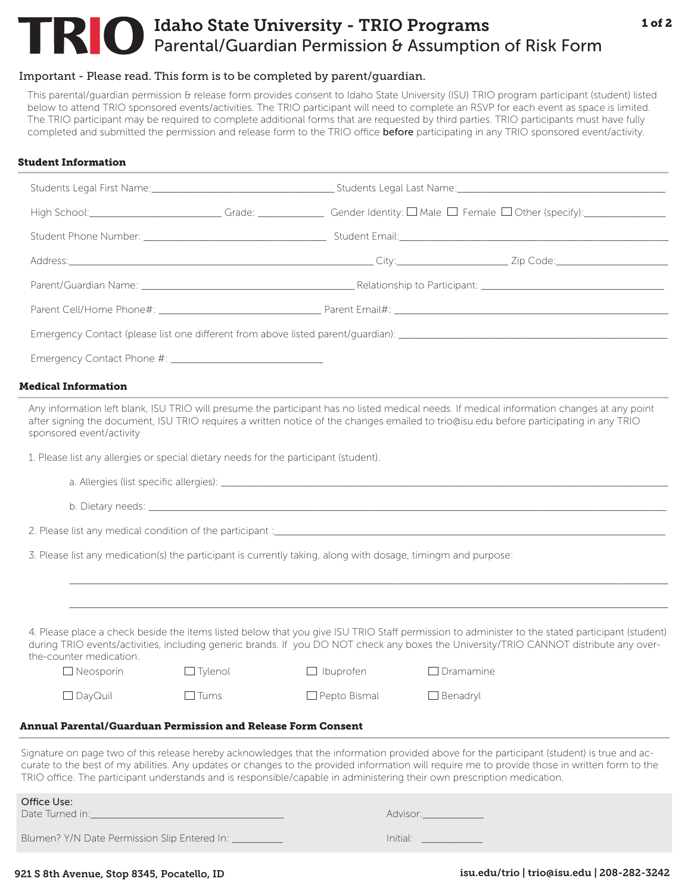# Idaho State University - TRIO Programs Parental/Guardian Permission & Assumption of Risk Form

# Important - Please read. This form is to be completed by parent/guardian.

This parental/guardian permission & release form provides consent to Idaho State University (ISU) TRIO program participant (student) listed below to attend TRIO sponsored events/activities. The TRIO participant will need to complete an RSVP for each event as space is limited. The TRIO participant may be required to complete additional forms that are requested by third parties. TRIO participants must have fully completed and submitted the permission and release form to the TRIO office **before** participating in any TRIO sponsored event/activity.

### Student Information

| <b>Medical Information</b>                                                                                       |                                  |                                                                                                               |                                                                                                                                                                                                                                                                                                                                                                                                                          |  |
|------------------------------------------------------------------------------------------------------------------|----------------------------------|---------------------------------------------------------------------------------------------------------------|--------------------------------------------------------------------------------------------------------------------------------------------------------------------------------------------------------------------------------------------------------------------------------------------------------------------------------------------------------------------------------------------------------------------------|--|
| sponsored event/activity<br>1. Please list any allergies or special dietary needs for the participant (student). |                                  | 3. Please list any medication(s) the participant is currently taking, along with dosage, timingm and purpose: | Any information left blank, ISU TRIO will presume the participant has no listed medical needs. If medical information changes at any point<br>after signing the document, ISU TRIO requires a written notice of the changes emailed to trio@isu.edu before participating in any TRIO                                                                                                                                     |  |
| the-counter medication.<br>$\Box$ Neosporin<br>$\Box$ DayQuil                                                    | $\Box$ Tylenol<br>$\square$ Tums | $\Box$ Ibuprofen<br>$\Box$ Pepto Bismal                                                                       | 4. Please place a check beside the items listed below that you give ISU TRIO Staff permission to administer to the stated participant (student)<br>during TRIO events/activities, including generic brands. If you DO NOT check any boxes the University/TRIO CANNOT distribute any over-<br>$\Box$ Dramamine<br>$\Box$ Benadryl                                                                                         |  |
| <b>Annual Parental/Guarduan Permission and Release Form Consent</b>                                              |                                  |                                                                                                               |                                                                                                                                                                                                                                                                                                                                                                                                                          |  |
|                                                                                                                  |                                  |                                                                                                               | Signature on page two of this release hereby acknowledges that the information provided above for the participant (student) is true and ac-<br>curate to the best of my abilities. Any updates or changes to the provided information will require me to provide those in written form to the<br>TRIO office. The participant understands and is responsible/capable in administering their own prescription medication. |  |
| Office Use:                                                                                                      |                                  |                                                                                                               | Advisor: 1988                                                                                                                                                                                                                                                                                                                                                                                                            |  |
| Blumen? Y/N Date Permission Slip Entered In: ____                                                                |                                  |                                                                                                               | Initial:                                                                                                                                                                                                                                                                                                                                                                                                                 |  |

### 921 S 8th Avenue, Stop 8345, Pocatello, ID isu.edu/trio | trio@isu.edu | 208-282-3242